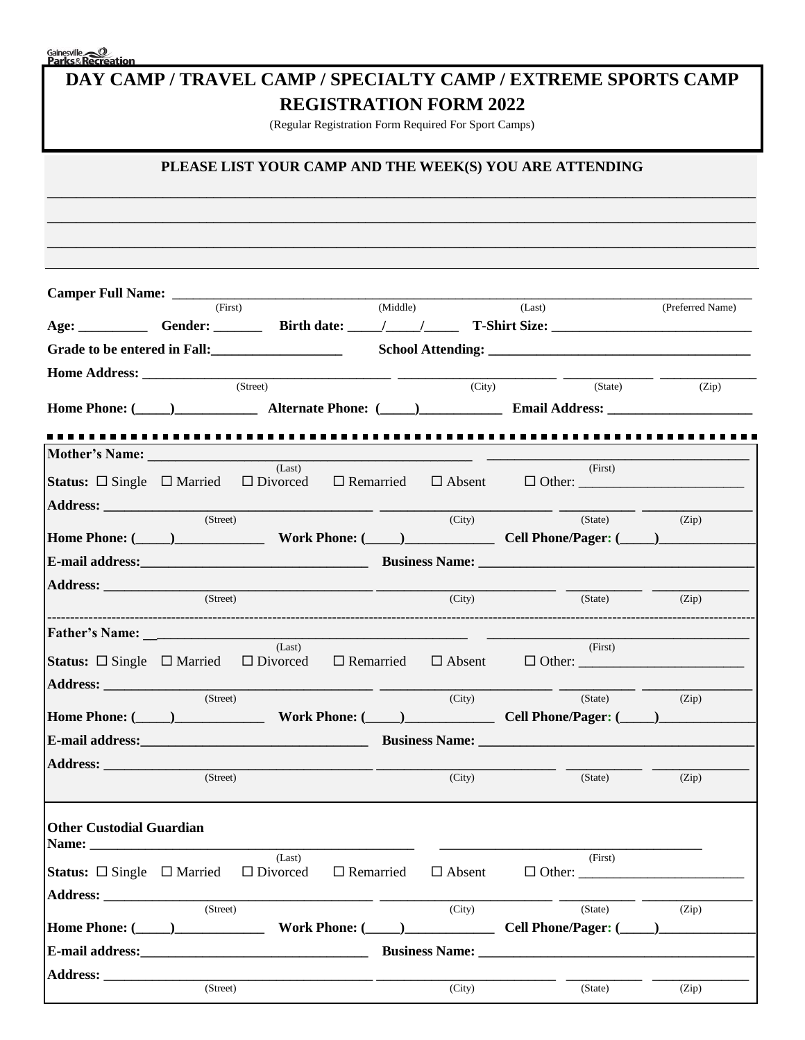Gainesville<br>**Parks&Recreation** 

| DAY CAMP / TRAVEL CAMP / SPECIALTY CAMP / EXTREME SPORTS CAMP |
|---------------------------------------------------------------|
| <b>REGISTRATION FORM 2022</b>                                 |

(Regular Registration Form Required For Sport Camps)

# PLEASE LIST YOUR CAMP AND THE WEEK(S) YOU ARE ATTENDING

|                                                                                                                                                                                                                                | (First)  |                                                                                                                     |                  | (Middle) |                                | (Last)                                                                                                                                                                                                                         | (Preferred Name) |
|--------------------------------------------------------------------------------------------------------------------------------------------------------------------------------------------------------------------------------|----------|---------------------------------------------------------------------------------------------------------------------|------------------|----------|--------------------------------|--------------------------------------------------------------------------------------------------------------------------------------------------------------------------------------------------------------------------------|------------------|
|                                                                                                                                                                                                                                |          |                                                                                                                     |                  |          |                                | Age: Gender: Gender: Birth date: 1 1 1 T-Shirt Size:                                                                                                                                                                           |                  |
| Grade to be entered in Fall:                                                                                                                                                                                                   |          |                                                                                                                     |                  |          |                                |                                                                                                                                                                                                                                |                  |
|                                                                                                                                                                                                                                |          |                                                                                                                     |                  |          |                                |                                                                                                                                                                                                                                |                  |
|                                                                                                                                                                                                                                |          | (Street)                                                                                                            |                  |          | (City)                         | (State)                                                                                                                                                                                                                        | (Zip)            |
|                                                                                                                                                                                                                                |          |                                                                                                                     |                  |          |                                | Home Phone: (Comparison and Alternate Phone: (Comparison and Address: Comparison and Address: Comparison and Address: Comparison and Address: Comparison and Address: Comparison and Address: Comparison and Address: Comparis |                  |
|                                                                                                                                                                                                                                |          |                                                                                                                     |                  |          |                                |                                                                                                                                                                                                                                |                  |
|                                                                                                                                                                                                                                |          | (Last)                                                                                                              |                  |          |                                | (First)                                                                                                                                                                                                                        |                  |
| <b>Status:</b> $\Box$ Single $\Box$ Married                                                                                                                                                                                    |          | $\Box$ Divorced $\Box$ Remarried $\Box$ Absent                                                                      |                  |          |                                |                                                                                                                                                                                                                                |                  |
|                                                                                                                                                                                                                                |          | <u> 1989 - Johann Stein, fransk politik (d. 1989)</u>                                                               |                  |          |                                |                                                                                                                                                                                                                                |                  |
|                                                                                                                                                                                                                                | (Street) |                                                                                                                     |                  |          | (City)                         | (State)                                                                                                                                                                                                                        | (Zip)            |
|                                                                                                                                                                                                                                |          |                                                                                                                     |                  |          |                                | Home Phone: (Campbell Control of Phone: Campbell Control Cell Phone/Pager: (Campbell Control of Phone Phone: C                                                                                                                 |                  |
|                                                                                                                                                                                                                                |          |                                                                                                                     |                  |          |                                |                                                                                                                                                                                                                                |                  |
|                                                                                                                                                                                                                                | (Street) |                                                                                                                     |                  |          | (City)                         | (State)                                                                                                                                                                                                                        | (Zip)            |
|                                                                                                                                                                                                                                |          |                                                                                                                     |                  |          |                                |                                                                                                                                                                                                                                |                  |
|                                                                                                                                                                                                                                |          | (Last)                                                                                                              |                  |          |                                | (First)                                                                                                                                                                                                                        |                  |
| <b>Status:</b> $\square$ Single $\square$ Married $\square$ Divorced                                                                                                                                                           |          |                                                                                                                     |                  |          | $\Box$ Remarried $\Box$ Absent | $\Box$ Other:                                                                                                                                                                                                                  |                  |
|                                                                                                                                                                                                                                |          |                                                                                                                     |                  |          |                                |                                                                                                                                                                                                                                |                  |
|                                                                                                                                                                                                                                | (Street) |                                                                                                                     |                  |          | (City)                         | (State)                                                                                                                                                                                                                        | (Zip)            |
|                                                                                                                                                                                                                                |          |                                                                                                                     |                  |          |                                | Home Phone: (Campbell Collection and Mork Phone: (Campbell Collection Phone/Pager: (Campbell Phone)                                                                                                                            |                  |
|                                                                                                                                                                                                                                |          |                                                                                                                     |                  |          |                                |                                                                                                                                                                                                                                |                  |
| Address: and the state of the state of the state of the state of the state of the state of the state of the state of the state of the state of the state of the state of the state of the state of the state of the state of t | (Street) |                                                                                                                     |                  |          | (City)                         | (State)                                                                                                                                                                                                                        | (Zip)            |
| <b>Other Custodial Guardian</b>                                                                                                                                                                                                |          |                                                                                                                     |                  |          |                                |                                                                                                                                                                                                                                |                  |
| <b>Status:</b> $\Box$ Single $\Box$ Married $\Box$ Divorced                                                                                                                                                                    |          | (Last)                                                                                                              | $\Box$ Remarried |          | $\Box$ Absent                  | (First)<br>$\Box$ Other:                                                                                                                                                                                                       |                  |
|                                                                                                                                                                                                                                | (Stree)  |                                                                                                                     |                  |          | (City)                         | (State)                                                                                                                                                                                                                        | (Zip)            |
|                                                                                                                                                                                                                                |          |                                                                                                                     |                  |          |                                |                                                                                                                                                                                                                                |                  |
|                                                                                                                                                                                                                                |          |                                                                                                                     |                  |          |                                | E-mail address: Business Name:                                                                                                                                                                                                 |                  |
|                                                                                                                                                                                                                                |          | <u> 1989 - Johann Barbara, markazi bashkar a shekara ta 1989 - André a shekara ta 1989 - André a shekara ta 198</u> |                  |          |                                |                                                                                                                                                                                                                                |                  |
|                                                                                                                                                                                                                                | (Street) |                                                                                                                     |                  |          | (City)                         | (State)                                                                                                                                                                                                                        | (Zip)            |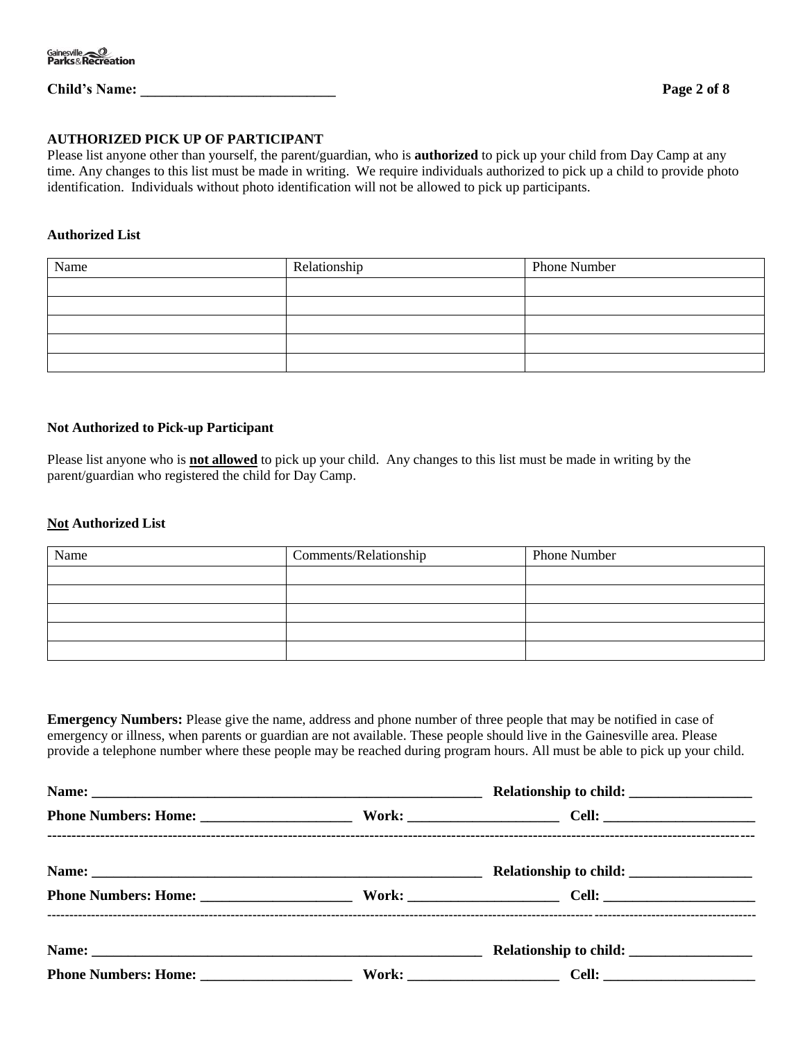# **Child's Name: \_\_\_\_\_\_\_\_\_\_\_\_\_\_\_\_\_\_\_\_\_\_\_\_\_\_\_ Page 2 of 8**

#### **AUTHORIZED PICK UP OF PARTICIPANT**

Please list anyone other than yourself, the parent/guardian, who is **authorized** to pick up your child from Day Camp at any time. Any changes to this list must be made in writing. We require individuals authorized to pick up a child to provide photo identification. Individuals without photo identification will not be allowed to pick up participants.

#### **Authorized List**

| Name | Relationship | <b>Phone Number</b> |
|------|--------------|---------------------|
|      |              |                     |
|      |              |                     |
|      |              |                     |
|      |              |                     |
|      |              |                     |

#### **Not Authorized to Pick-up Participant**

Please list anyone who is **not allowed** to pick up your child. Any changes to this list must be made in writing by the parent/guardian who registered the child for Day Camp.

#### **Not Authorized List**

| Name | Comments/Relationship | Phone Number |
|------|-----------------------|--------------|
|      |                       |              |
|      |                       |              |
|      |                       |              |
|      |                       |              |
|      |                       |              |

**Emergency Numbers:** Please give the name, address and phone number of three people that may be notified in case of emergency or illness, when parents or guardian are not available. These people should live in the Gainesville area. Please provide a telephone number where these people may be reached during program hours. All must be able to pick up your child.

| Phone Numbers: Home: Work: Cell: Cell: |  |  |  |  |  |
|----------------------------------------|--|--|--|--|--|
|                                        |  |  |  |  |  |
|                                        |  |  |  |  |  |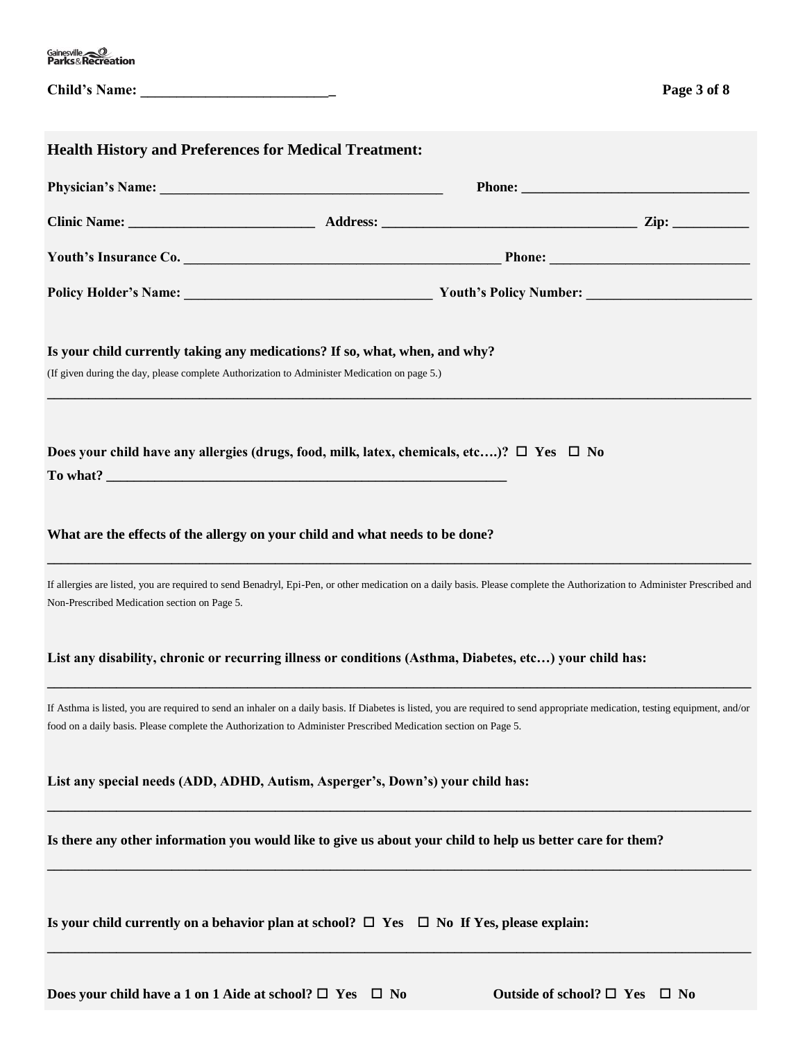| Gainesville<br><b>Parks&amp;Recreation</b> |  |
|--------------------------------------------|--|
|--------------------------------------------|--|

| <b>Child's Name:</b> |  |  |  |  |  |  |  |  |  |
|----------------------|--|--|--|--|--|--|--|--|--|
|                      |  |  |  |  |  |  |  |  |  |

| <b>Health History and Preferences for Medical Treatment:</b>                                                                                                                                                                                                                                    |
|-------------------------------------------------------------------------------------------------------------------------------------------------------------------------------------------------------------------------------------------------------------------------------------------------|
|                                                                                                                                                                                                                                                                                                 |
|                                                                                                                                                                                                                                                                                                 |
| Youth's Insurance Co.                                                                                                                                                                                                                                                                           |
|                                                                                                                                                                                                                                                                                                 |
| Is your child currently taking any medications? If so, what, when, and why?<br>(If given during the day, please complete Authorization to Administer Medication on page 5.)                                                                                                                     |
| Does your child have any allergies (drugs, food, milk, latex, chemicals, etc)? $\Box$ Yes $\Box$ No                                                                                                                                                                                             |
| What are the effects of the allergy on your child and what needs to be done?                                                                                                                                                                                                                    |
| If allergies are listed, you are required to send Benadryl, Epi-Pen, or other medication on a daily basis. Please complete the Authorization to Administer Prescribed and<br>Non-Prescribed Medication section on Page 5.                                                                       |
| List any disability, chronic or recurring illness or conditions (Asthma, Diabetes, etc) your child has:                                                                                                                                                                                         |
| If Asthma is listed, you are required to send an inhaler on a daily basis. If Diabetes is listed, you are required to send appropriate medication, testing equipment, and/or<br>food on a daily basis. Please complete the Authorization to Administer Prescribed Medication section on Page 5. |
| List any special needs (ADD, ADHD, Autism, Asperger's, Down's) your child has:                                                                                                                                                                                                                  |
| Is there any other information you would like to give us about your child to help us better care for them?                                                                                                                                                                                      |
| Is your child currently on a behavior plan at school? $\Box$ Yes $\Box$ No If Yes, please explain:                                                                                                                                                                                              |

**Does your child have a 1 on 1 Aide at school?**  $\Box$  **Yes**  $\Box$  **No**  $\Box$  **Outside of school?**  $\Box$  **Yes**  $\Box$  **No**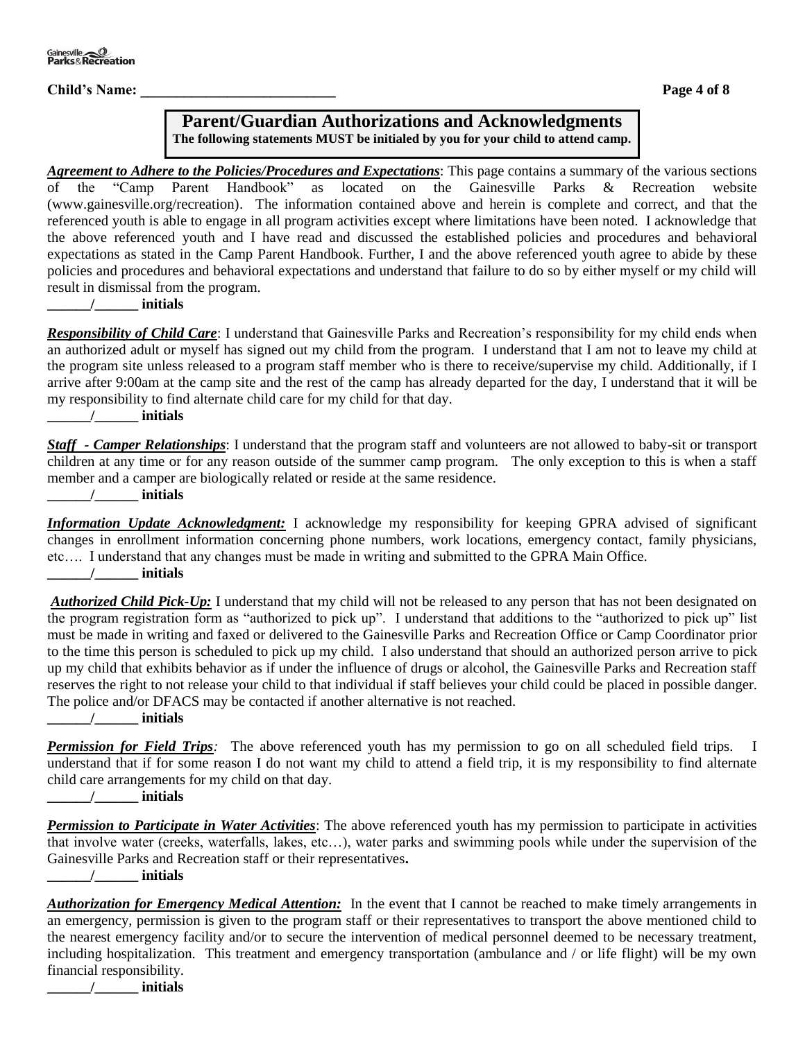**Child's Name:** Page 4 of 8

# **Parent/Guardian Authorizations and Acknowledgments**

**The following statements MUST be initialed by you for your child to attend camp.** 

*Agreement to Adhere to the Policies/Procedures and Expectations*: This page contains a summary of the various sections of the "Camp Parent Handbook" as located on the Gainesville Parks & Recreation website (www.gainesville.org/recreation).The information contained above and herein is complete and correct, and that the referenced youth is able to engage in all program activities except where limitations have been noted. I acknowledge that the above referenced youth and I have read and discussed the established policies and procedures and behavioral expectations as stated in the Camp Parent Handbook. Further, I and the above referenced youth agree to abide by these policies and procedures and behavioral expectations and understand that failure to do so by either myself or my child will result in dismissal from the program.

**\_\_\_\_\_\_/\_\_\_\_\_\_ initials**

*Responsibility of Child Care*: I understand that Gainesville Parks and Recreation's responsibility for my child ends when an authorized adult or myself has signed out my child from the program. I understand that I am not to leave my child at the program site unless released to a program staff member who is there to receive/supervise my child. Additionally, if I arrive after 9:00am at the camp site and the rest of the camp has already departed for the day, I understand that it will be my responsibility to find alternate child care for my child for that day.

**\_\_\_\_\_\_/\_\_\_\_\_\_ initials**

*Staff - Camper Relationships*: I understand that the program staff and volunteers are not allowed to baby-sit or transport children at any time or for any reason outside of the summer camp program. The only exception to this is when a staff member and a camper are biologically related or reside at the same residence.

**\_\_\_\_\_\_/\_\_\_\_\_\_ initials**

*Information Update Acknowledgment:* I acknowledge my responsibility for keeping GPRA advised of significant changes in enrollment information concerning phone numbers, work locations, emergency contact, family physicians, etc…. I understand that any changes must be made in writing and submitted to the GPRA Main Office. **\_\_\_\_\_\_/\_\_\_\_\_\_ initials**

*Authorized Child Pick-Up:* I understand that my child will not be released to any person that has not been designated on the program registration form as "authorized to pick up". I understand that additions to the "authorized to pick up" list must be made in writing and faxed or delivered to the Gainesville Parks and Recreation Office or Camp Coordinator prior to the time this person is scheduled to pick up my child. I also understand that should an authorized person arrive to pick up my child that exhibits behavior as if under the influence of drugs or alcohol, the Gainesville Parks and Recreation staff reserves the right to not release your child to that individual if staff believes your child could be placed in possible danger. The police and/or DFACS may be contacted if another alternative is not reached.

**\_\_\_\_\_\_/\_\_\_\_\_\_ initials**

*Permission for Field Trips:* The above referenced youth has my permission to go on all scheduled field trips. I understand that if for some reason I do not want my child to attend a field trip, it is my responsibility to find alternate child care arrangements for my child on that day.

**\_\_\_\_\_\_/\_\_\_\_\_\_ initials**

*Permission to Participate in Water Activities*: The above referenced youth has my permission to participate in activities that involve water (creeks, waterfalls, lakes, etc…), water parks and swimming pools while under the supervision of the Gainesville Parks and Recreation staff or their representatives**.**

**\_\_\_\_\_\_/\_\_\_\_\_\_ initials**

| <b>Authorization for Emergency Medical Attention:</b> In the event that I cannot be reached to make timely arrangements in |
|----------------------------------------------------------------------------------------------------------------------------|
| an emergency, permission is given to the program staff or their representatives to transport the above mentioned child to  |
| the nearest emergency facility and/or to secure the intervention of medical personnel deemed to be necessary treatment,    |
| including hospitalization. This treatment and emergency transportation (ambulance and / or life flight) will be my own     |
| financial responsibility.                                                                                                  |

**\_\_\_\_\_\_/\_\_\_\_\_\_ initials**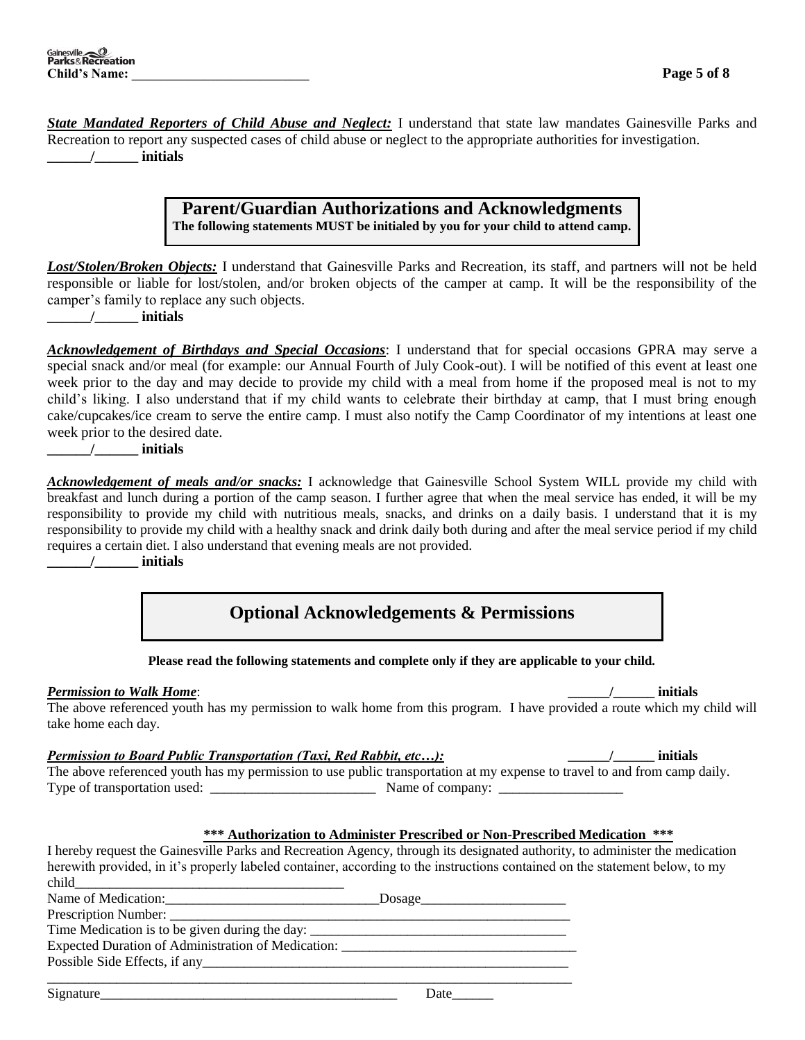*State Mandated Reporters of Child Abuse and Neglect:* I understand that state law mandates Gainesville Parks and Recreation to report any suspected cases of child abuse or neglect to the appropriate authorities for investigation. **\_\_\_\_\_\_/\_\_\_\_\_\_ initials**

# **Parent/Guardian Authorizations and Acknowledgments The following statements MUST be initialed by you for your child to attend camp.**

*Lost/Stolen/Broken Objects:* I understand that Gainesville Parks and Recreation, its staff, and partners will not be held responsible or liable for lost/stolen, and/or broken objects of the camper at camp. It will be the responsibility of the camper's family to replace any such objects.

**\_\_\_\_\_\_/\_\_\_\_\_\_ initials**

*Acknowledgement of Birthdays and Special Occasions*: I understand that for special occasions GPRA may serve a special snack and/or meal (for example: our Annual Fourth of July Cook-out). I will be notified of this event at least one week prior to the day and may decide to provide my child with a meal from home if the proposed meal is not to my child's liking. I also understand that if my child wants to celebrate their birthday at camp, that I must bring enough cake/cupcakes/ice cream to serve the entire camp. I must also notify the Camp Coordinator of my intentions at least one week prior to the desired date.

**\_\_\_\_\_\_/\_\_\_\_\_\_ initials**

*Acknowledgement of meals and/or snacks:* I acknowledge that Gainesville School System WILL provide my child with breakfast and lunch during a portion of the camp season. I further agree that when the meal service has ended, it will be my responsibility to provide my child with nutritious meals, snacks, and drinks on a daily basis. I understand that it is my responsibility to provide my child with a healthy snack and drink daily both during and after the meal service period if my child requires a certain diet. I also understand that evening meals are not provided.

**\_\_\_\_\_\_/\_\_\_\_\_\_ initials**

# **Optional Acknowledgements & Permissions**

**Please read the following statements and complete only if they are applicable to your child.**

*Permission to Walk Home*: **\_\_\_\_\_\_/\_\_\_\_\_\_ initials**

The above referenced youth has my permission to walk home from this program. I have provided a route which my child will take home each day.

# *Permission to Board Public Transportation (Taxi, Red Rabbit, etc…):* **\_\_\_\_\_\_/\_\_\_\_\_\_ initials**

The above referenced youth has my permission to use public transportation at my expense to travel to and from camp daily. Type of transportation used: \_\_\_\_\_\_\_\_\_\_\_\_\_\_\_\_\_\_\_\_\_\_\_\_ Name of company: \_\_\_\_\_\_\_\_\_\_\_\_\_\_\_\_\_\_

#### **\*\*\* Authorization to Administer Prescribed or Non-Prescribed Medication \*\*\***

I hereby request the Gainesville Parks and Recreation Agency, through its designated authority, to administer the medication herewith provided, in it's properly labeled container, according to the instructions contained on the statement below, to my child

| Name of Medication:                                                               |  |
|-----------------------------------------------------------------------------------|--|
|                                                                                   |  |
| Time Medication is to be given during the day: __________________________________ |  |
| Expected Duration of Administration of Medication: __________                     |  |
|                                                                                   |  |
|                                                                                   |  |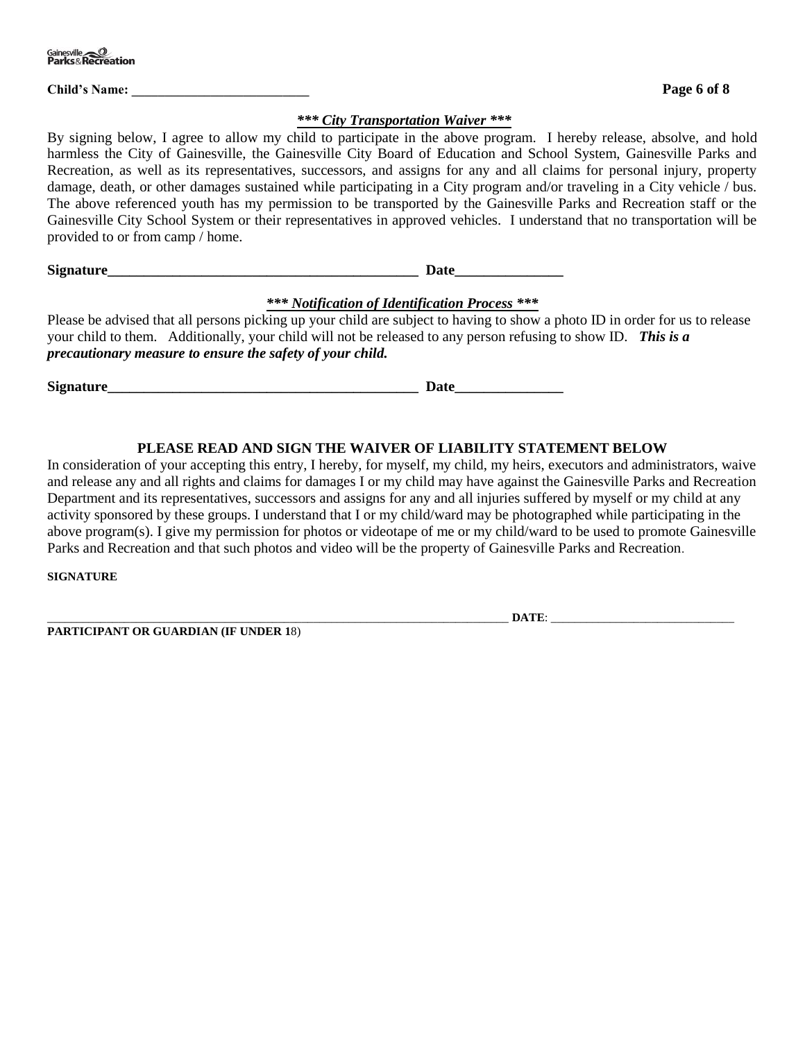**Child's Name: \_\_\_\_\_\_\_\_\_\_\_\_\_\_\_\_\_\_\_\_\_\_\_\_\_\_\_ Page 6 of 8**

#### *\*\*\* City Transportation Waiver \*\*\**

By signing below, I agree to allow my child to participate in the above program. I hereby release, absolve, and hold harmless the City of Gainesville, the Gainesville City Board of Education and School System, Gainesville Parks and Recreation, as well as its representatives, successors, and assigns for any and all claims for personal injury, property damage, death, or other damages sustained while participating in a City program and/or traveling in a City vehicle / bus. The above referenced youth has my permission to be transported by the Gainesville Parks and Recreation staff or the Gainesville City School System or their representatives in approved vehicles. I understand that no transportation will be provided to or from camp / home.

**Signature** 

## *\*\*\* Notification of Identification Process \*\*\**

Please be advised that all persons picking up your child are subject to having to show a photo ID in order for us to release your child to them. Additionally, your child will not be released to any person refusing to show ID. *This is a precautionary measure to ensure the safety of your child.*

**Signature\_\_\_\_\_\_\_\_\_\_\_\_\_\_\_\_\_\_\_\_\_\_\_\_\_\_\_\_\_\_\_\_\_\_\_\_\_\_\_\_\_\_\_ Date\_\_\_\_\_\_\_\_\_\_\_\_\_\_\_**

# **PLEASE READ AND SIGN THE WAIVER OF LIABILITY STATEMENT BELOW**

In consideration of your accepting this entry, I hereby, for myself, my child, my heirs, executors and administrators, waive and release any and all rights and claims for damages I or my child may have against the Gainesville Parks and Recreation Department and its representatives, successors and assigns for any and all injuries suffered by myself or my child at any activity sponsored by these groups. I understand that I or my child/ward may be photographed while participating in the above program(s). I give my permission for photos or videotape of me or my child/ward to be used to promote Gainesville Parks and Recreation and that such photos and video will be the property of Gainesville Parks and Recreation.

**SIGNATURE**

**PARTICIPANT OR GUARDIAN (IF UNDER 1**8)

\_\_\_\_\_\_\_\_\_\_\_\_\_\_\_\_\_\_\_\_\_\_\_\_\_\_\_\_\_\_\_\_\_\_\_\_\_\_\_\_\_\_\_\_\_\_\_\_\_\_\_\_\_\_\_\_\_\_\_\_\_\_\_\_\_\_\_\_\_\_\_\_\_\_\_\_\_\_ **DATE**: \_\_\_\_\_\_\_\_\_\_\_\_\_\_\_\_\_\_\_\_\_\_\_\_\_\_\_\_\_\_\_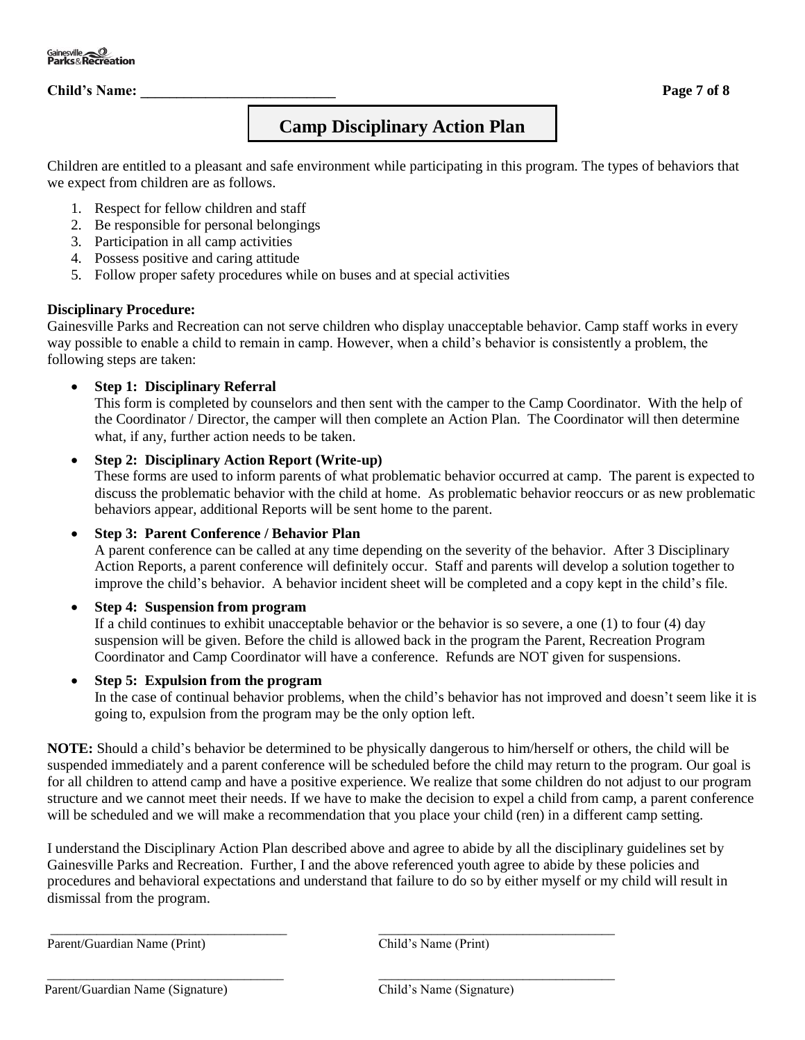# **Child's Name:** Page 7 of 8

# **Camp Disciplinary Action Plan**

Children are entitled to a pleasant and safe environment while participating in this program. The types of behaviors that we expect from children are as follows.

- 1. Respect for fellow children and staff
- 2. Be responsible for personal belongings
- 3. Participation in all camp activities
- 4. Possess positive and caring attitude
- 5. Follow proper safety procedures while on buses and at special activities

### **Disciplinary Procedure:**

Gainesville Parks and Recreation can not serve children who display unacceptable behavior. Camp staff works in every way possible to enable a child to remain in camp. However, when a child's behavior is consistently a problem, the following steps are taken:

### • **Step 1: Disciplinary Referral**

This form is completed by counselors and then sent with the camper to the Camp Coordinator. With the help of the Coordinator / Director, the camper will then complete an Action Plan. The Coordinator will then determine what, if any, further action needs to be taken.

### • **Step 2: Disciplinary Action Report (Write-up)**

These forms are used to inform parents of what problematic behavior occurred at camp. The parent is expected to discuss the problematic behavior with the child at home. As problematic behavior reoccurs or as new problematic behaviors appear, additional Reports will be sent home to the parent.

#### • **Step 3: Parent Conference / Behavior Plan**

A parent conference can be called at any time depending on the severity of the behavior. After 3 Disciplinary Action Reports, a parent conference will definitely occur. Staff and parents will develop a solution together to improve the child's behavior. A behavior incident sheet will be completed and a copy kept in the child's file.

## • **Step 4: Suspension from program**

If a child continues to exhibit unacceptable behavior or the behavior is so severe, a one (1) to four (4) day suspension will be given. Before the child is allowed back in the program the Parent, Recreation Program Coordinator and Camp Coordinator will have a conference. Refunds are NOT given for suspensions.

#### • **Step 5: Expulsion from the program**

In the case of continual behavior problems, when the child's behavior has not improved and doesn't seem like it is going to, expulsion from the program may be the only option left.

**NOTE:** Should a child's behavior be determined to be physically dangerous to him/herself or others, the child will be suspended immediately and a parent conference will be scheduled before the child may return to the program. Our goal is for all children to attend camp and have a positive experience. We realize that some children do not adjust to our program structure and we cannot meet their needs. If we have to make the decision to expel a child from camp, a parent conference will be scheduled and we will make a recommendation that you place your child (ren) in a different camp setting.

I understand the Disciplinary Action Plan described above and agree to abide by all the disciplinary guidelines set by Gainesville Parks and Recreation. Further, I and the above referenced youth agree to abide by these policies and procedures and behavioral expectations and understand that failure to do so by either myself or my child will result in dismissal from the program.

\_\_\_\_\_\_\_\_\_\_\_\_\_\_\_\_\_\_\_\_\_\_\_\_\_\_\_\_\_\_\_\_\_\_\_\_ \_\_\_\_\_\_\_\_\_\_\_\_\_\_\_\_\_\_\_\_\_\_\_\_\_\_\_\_\_\_\_\_\_\_\_\_

\_\_\_\_\_\_\_\_\_\_\_\_\_\_\_\_\_\_\_\_\_\_\_\_\_\_\_\_\_\_\_\_\_\_\_\_ \_\_\_\_\_\_\_\_\_\_\_\_\_\_\_\_\_\_\_\_\_\_\_\_\_\_\_\_\_\_\_\_\_\_\_\_

Parent/Guardian Name (Print) Child's Name (Print)

Parent/Guardian Name (Signature) Child's Name (Signature)